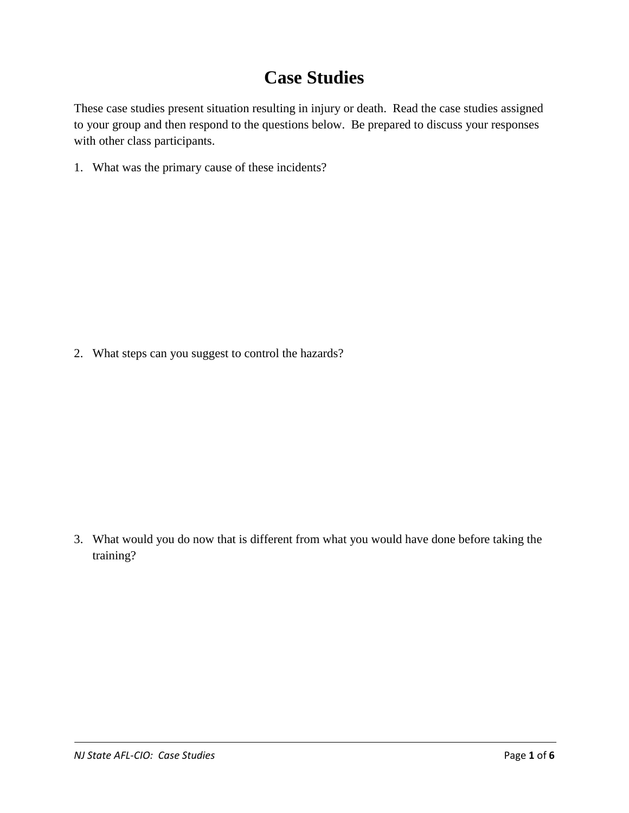## **Case Studies**

These case studies present situation resulting in injury or death. Read the case studies assigned to your group and then respond to the questions below. Be prepared to discuss your responses with other class participants.

1. What was the primary cause of these incidents?

2. What steps can you suggest to control the hazards?

3. What would you do now that is different from what you would have done before taking the training?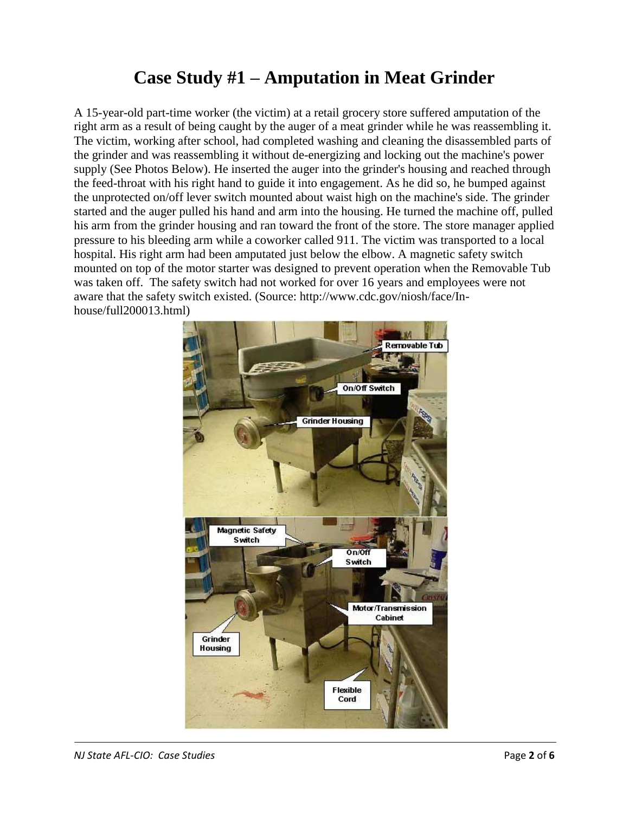## **Case Study #1 – Amputation in Meat Grinder**

A 15-year-old part-time worker (the victim) at a retail grocery store suffered amputation of the right arm as a result of being caught by the auger of a meat grinder while he was reassembling it. The victim, working after school, had completed washing and cleaning the disassembled parts of the grinder and was reassembling it without de-energizing and locking out the machine's power supply (See Photos Below). He inserted the auger into the grinder's housing and reached through the feed-throat with his right hand to guide it into engagement. As he did so, he bumped against the unprotected on/off lever switch mounted about waist high on the machine's side. The grinder started and the auger pulled his hand and arm into the housing. He turned the machine off, pulled his arm from the grinder housing and ran toward the front of the store. The store manager applied pressure to his bleeding arm while a coworker called 911. The victim was transported to a local hospital. His right arm had been amputated just below the elbow. A magnetic safety switch mounted on top of the motor starter was designed to prevent operation when the Removable Tub was taken off. The safety switch had not worked for over 16 years and employees were not aware that the safety switch existed. (Source: http://www.cdc.gov/niosh/face/Inhouse/full200013.html)

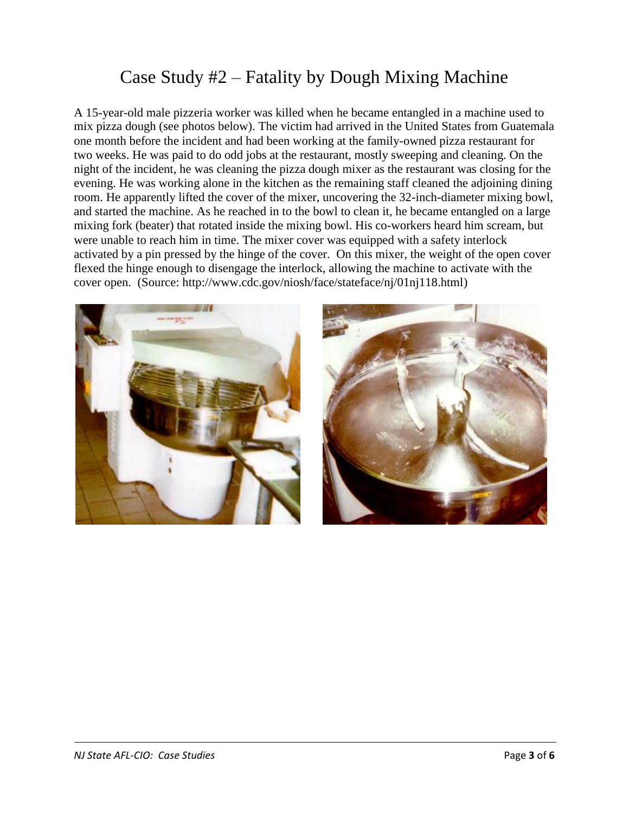## Case Study #2 – Fatality by Dough Mixing Machine

A 15-year-old male pizzeria worker was killed when he became entangled in a machine used to mix pizza dough (see photos below). The victim had arrived in the United States from Guatemala one month before the incident and had been working at the family-owned pizza restaurant for two weeks. He was paid to do odd jobs at the restaurant, mostly sweeping and cleaning. On the night of the incident, he was cleaning the pizza dough mixer as the restaurant was closing for the evening. He was working alone in the kitchen as the remaining staff cleaned the adjoining dining room. He apparently lifted the cover of the mixer, uncovering the 32-inch-diameter mixing bowl, and started the machine. As he reached in to the bowl to clean it, he became entangled on a large mixing fork (beater) that rotated inside the mixing bowl. His co-workers heard him scream, but were unable to reach him in time. The mixer cover was equipped with a safety interlock activated by a pin pressed by the hinge of the cover. On this mixer, the weight of the open cover flexed the hinge enough to disengage the interlock, allowing the machine to activate with the cover open. (Source: http://www.cdc.gov/niosh/face/stateface/nj/01nj118.html)

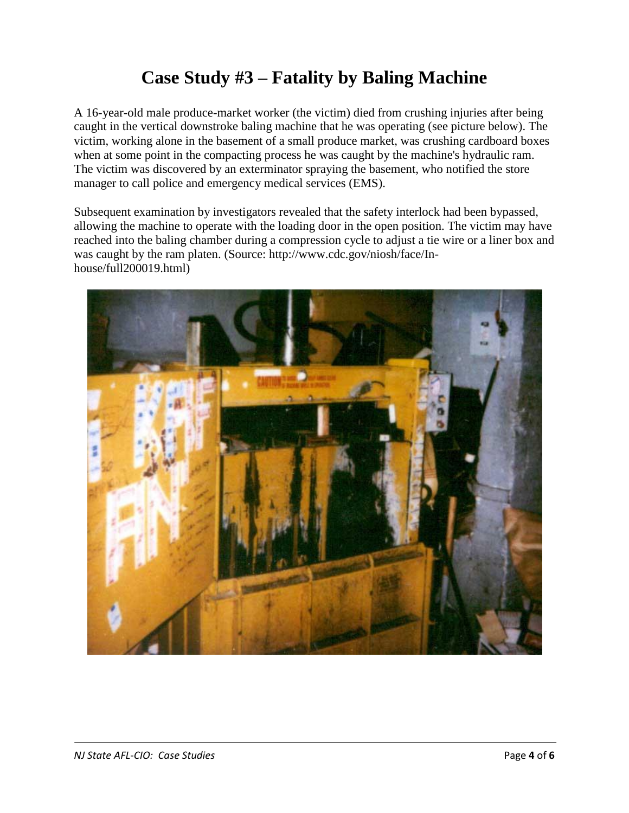# **Case Study #3 – Fatality by Baling Machine**

A 16-year-old male produce-market worker (the victim) died from crushing injuries after being caught in the vertical downstroke baling machine that he was operating (see picture below). The victim, working alone in the basement of a small produce market, was crushing cardboard boxes when at some point in the compacting process he was caught by the machine's hydraulic ram. The victim was discovered by an exterminator spraying the basement, who notified the store manager to call police and emergency medical services (EMS).

Subsequent examination by investigators revealed that the safety interlock had been bypassed, allowing the machine to operate with the loading door in the open position. The victim may have reached into the baling chamber during a compression cycle to adjust a tie wire or a liner box and was caught by the ram platen. (Source: http://www.cdc.gov/niosh/face/Inhouse/full200019.html)

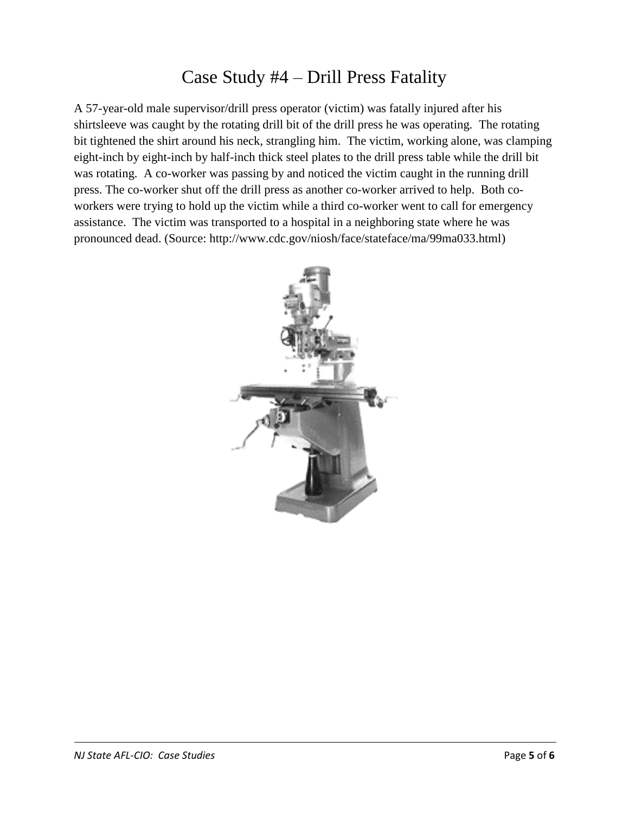### Case Study #4 – Drill Press Fatality

A 57-year-old male supervisor/drill press operator (victim) was fatally injured after his shirtsleeve was caught by the rotating drill bit of the drill press he was operating. The rotating bit tightened the shirt around his neck, strangling him. The victim, working alone, was clamping eight-inch by eight-inch by half-inch thick steel plates to the drill press table while the drill bit was rotating. A co-worker was passing by and noticed the victim caught in the running drill press. The co-worker shut off the drill press as another co-worker arrived to help. Both coworkers were trying to hold up the victim while a third co-worker went to call for emergency assistance. The victim was transported to a hospital in a neighboring state where he was pronounced dead. (Source: http://www.cdc.gov/niosh/face/stateface/ma/99ma033.html)